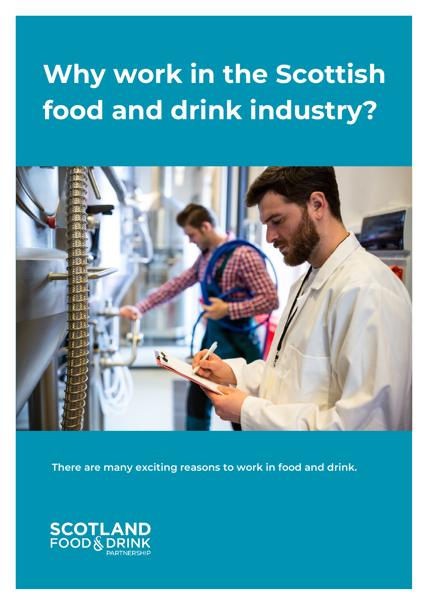## **Why work in the Scottish food and drink industry?**



**There are many exciting reasons to work in food and drink.**

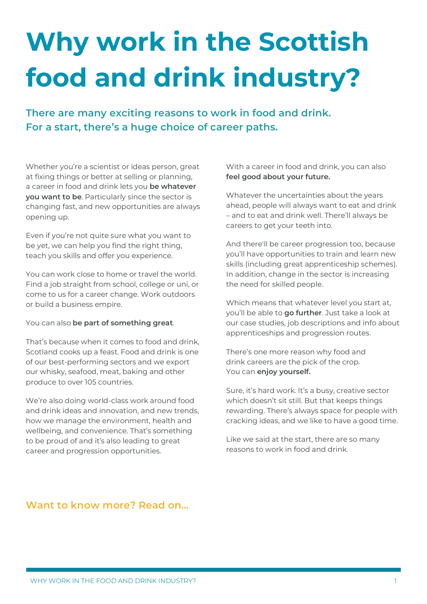# **Why work in the Scottish food and drink industry?**

**There are many exciting reasons to work in food and drink. For a start, there's a huge choice of career paths.**

Whether you're a scientist or ideas person, great at fixing things or better at selling or planning, a career in food and drink lets you **be whatever you want to be**. Particularly since the sector is changing fast, and new opportunities are always opening up.

Even if you're not quite sure what you want to be yet, we can help you find the right thing, teach you skills and offer you experience.

You can work close to home or travel the world. Find a job straight from school, college or uni, or come to us for a career change. Work outdoors or build a business empire.

You can also **be part of something great**.

That's because when it comes to food and drink, Scotland cooks up a feast. Food and drink is one of our best-performing sectors and we export our whisky, seafood, meat, baking and other produce to over 105 countries.

We're also doing world-class work around food and drink ideas and innovation, and new trends, how we manage the environment, health and wellbeing, and convenience. That's something to be proud of and it's also leading to great career and progression opportunities.

With a career in food and drink, you can also **feel good about your future.**

Whatever the uncertainties about the years ahead, people will always want to eat and drink – and to eat and drink well. There'll always be careers to get your teeth into.

And there'll be career progression too, because you'll have opportunities to train and learn new skills (including great apprenticeship schemes). In addition, change in the sector is increasing the need for skilled people.

Which means that whatever level you start at, you'll be able to **go further**. Just take a look at our case studies, job descriptions and info about apprenticeships and progression routes.

There's one more reason why food and drink careers are the pick of the crop. You can **enjoy yourself.** 

Sure, it's hard work. It's a busy, creative sector which doesn't sit still. But that keeps things rewarding. There's always space for people with cracking ideas, and we like to have a good time.

Like we said at the start, there are so many reasons to work in food and drink.

#### **Want to know more? Read on…**